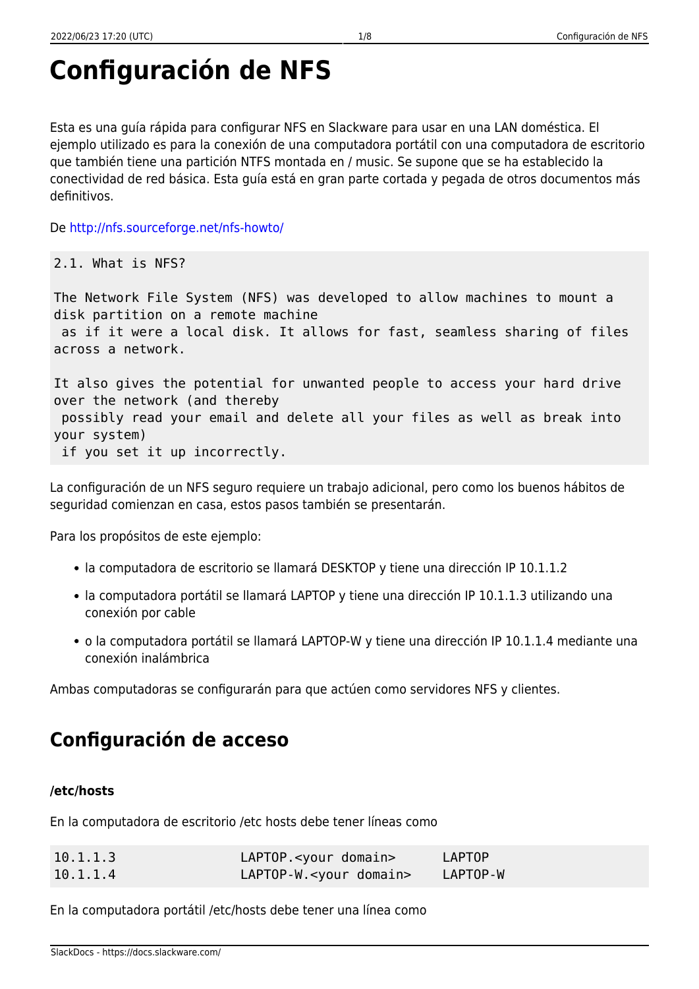# **Configuración de NFS**

Esta es una guía rápida para configurar NFS en Slackware para usar en una LAN doméstica. El ejemplo utilizado es para la conexión de una computadora portátil con una computadora de escritorio que también tiene una partición NTFS montada en / music. Se supone que se ha establecido la conectividad de red básica. Esta guía está en gran parte cortada y pegada de otros documentos más definitivos.

De<http://nfs.sourceforge.net/nfs-howto/>

2.1. What is NFS?

The Network File System (NFS) was developed to allow machines to mount a disk partition on a remote machine as if it were a local disk. It allows for fast, seamless sharing of files across a network.

It also gives the potential for unwanted people to access your hard drive over the network (and thereby possibly read your email and delete all your files as well as break into your system) if you set it up incorrectly.

La configuración de un NFS seguro requiere un trabajo adicional, pero como los buenos hábitos de seguridad comienzan en casa, estos pasos también se presentarán.

Para los propósitos de este ejemplo:

- la computadora de escritorio se llamará DESKTOP y tiene una dirección IP 10.1.1.2
- la computadora portátil se llamará LAPTOP y tiene una dirección IP 10.1.1.3 utilizando una conexión por cable
- o la computadora portátil se llamará LAPTOP-W y tiene una dirección IP 10.1.1.4 mediante una conexión inalámbrica

Ambas computadoras se configurarán para que actúen como servidores NFS y clientes.

# **Configuración de acceso**

#### **/etc/hosts**

En la computadora de escritorio /etc hosts debe tener líneas como

| 10.1.1.3 | LAPTOP. <your domain=""></your>   | LAPTOP   |
|----------|-----------------------------------|----------|
| 10.1.1.4 | LAPTOP-W. <your domain=""></your> | LAPTOP-W |

En la computadora portátil /etc/hosts debe tener una línea como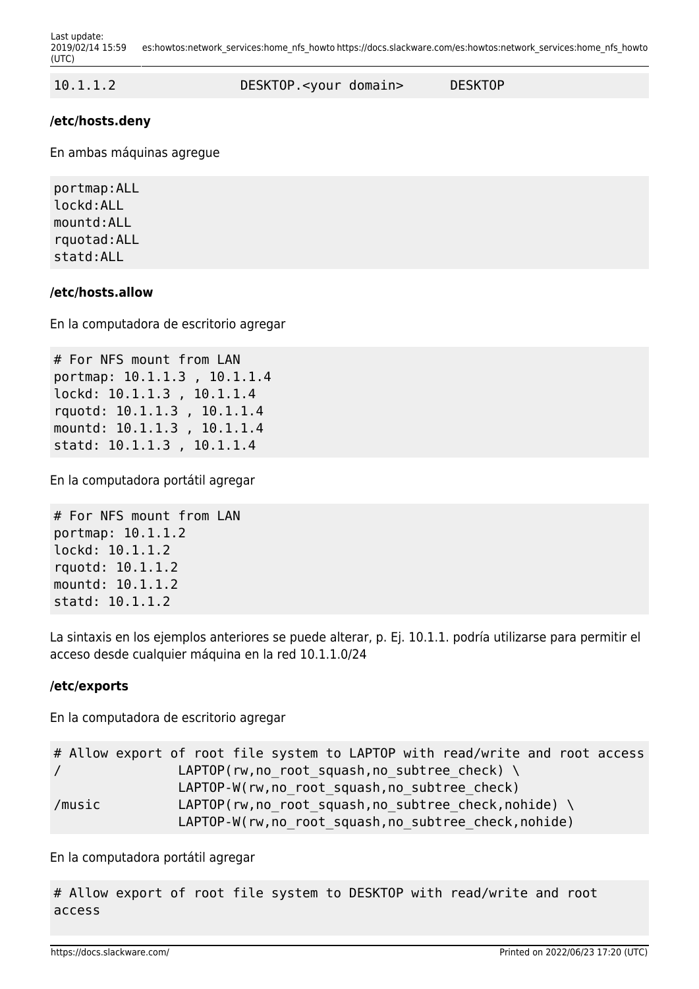10.1.1.2 DESKTOP.<your domain> DESKTOP

#### **/etc/hosts.deny**

En ambas máquinas agregue

portmap:ALL lockd:ALL mountd:ALL rquotad:ALL statd:ALL

#### **/etc/hosts.allow**

En la computadora de escritorio agregar

# For NFS mount from LAN portmap: 10.1.1.3 , 10.1.1.4 lockd: 10.1.1.3 , 10.1.1.4 rquotd: 10.1.1.3 , 10.1.1.4 mountd: 10.1.1.3 , 10.1.1.4 statd: 10.1.1.3 , 10.1.1.4

En la computadora portátil agregar

```
# For NFS mount from LAN
portmap: 10.1.1.2
lockd: 10.1.1.2
rquotd: 10.1.1.2
mountd: 10.1.1.2
statd: 10.1.1.2
```
La sintaxis en los ejemplos anteriores se puede alterar, p. Ej. 10.1.1. podría utilizarse para permitir el acceso desde cualquier máquina en la red 10.1.1.0/24

#### **/etc/exports**

En la computadora de escritorio agregar

|            | # Allow export of root file system to LAPTOP with read/write and root access |
|------------|------------------------------------------------------------------------------|
| $\sqrt{2}$ | LAPTOP(rw, no root squash, no subtree check) $\setminus$                     |
|            | LAPTOP-W(rw, no root squash, no subtree check)                               |
| /music     | LAPTOP(rw, no root squash, no subtree check, nohide) $\setminus$             |
|            | LAPTOP-W(rw, no root squash, no subtree check, nohide)                       |

En la computadora portátil agregar

# Allow export of root file system to DESKTOP with read/write and root access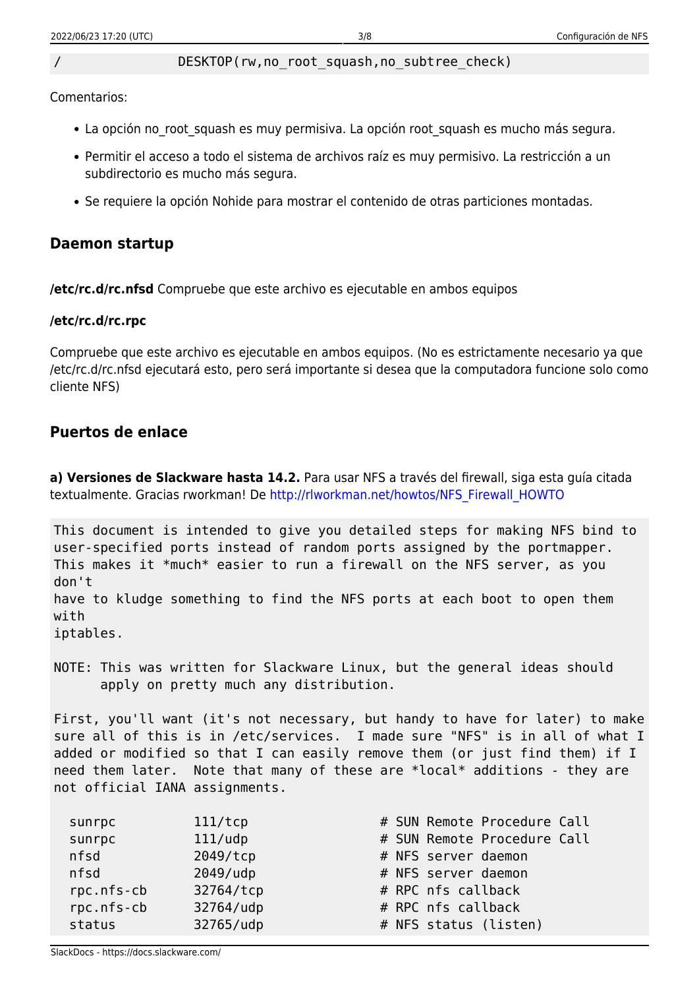#### DESKTOP(rw,no\_root\_squash,no\_subtree\_check)

Comentarios:

- La opción no root squash es muy permisiva. La opción root squash es mucho más segura.
- Permitir el acceso a todo el sistema de archivos raíz es muy permisivo. La restricción a un subdirectorio es mucho más segura.
- Se requiere la opción Nohide para mostrar el contenido de otras particiones montadas.

### **Daemon startup**

**/etc/rc.d/rc.nfsd** Compruebe que este archivo es ejecutable en ambos equipos

#### **/etc/rc.d/rc.rpc**

Compruebe que este archivo es ejecutable en ambos equipos. (No es estrictamente necesario ya que /etc/rc.d/rc.nfsd ejecutará esto, pero será importante si desea que la computadora funcione solo como cliente NFS)

### **Puertos de enlace**

**a) Versiones de Slackware hasta 14.2.** Para usar NFS a través del firewall, siga esta guía citada textualmente. Gracias rworkman! De [http://rlworkman.net/howtos/NFS\\_Firewall\\_HOWTO](http://rlworkman.net/howtos/NFS_Firewall_HOWTO)

This document is intended to give you detailed steps for making NFS bind to user-specified ports instead of random ports assigned by the portmapper. This makes it \*much\* easier to run a firewall on the NFS server, as you don't have to kludge something to find the NFS ports at each boot to open them with iptables.

NOTE: This was written for Slackware Linux, but the general ideas should apply on pretty much any distribution.

First, you'll want (it's not necessary, but handy to have for later) to make sure all of this is in /etc/services. I made sure "NFS" is in all of what I added or modified so that I can easily remove them (or just find them) if I need them later. Note that many of these are \*local\* additions - they are not official IANA assignments.

| # SUN Remote Procedure Call<br>111/tcp<br>sunrpc    |  |
|-----------------------------------------------------|--|
| sunrpc<br>$111/$ udp<br># SUN Remote Procedure Call |  |
| nfsd<br>2049/tcp<br># NFS server daemon             |  |
| $2049/$ udp<br>nfsd<br># NFS server daemon          |  |
| # RPC nfs callback<br>rpc.nfs-cb<br>32764/tcp       |  |
| rpc.nfs-cb<br># RPC nfs callback<br>32764/udp       |  |
| 32765/udp<br>status<br># NFS status (listen)        |  |

SlackDocs - https://docs.slackware.com/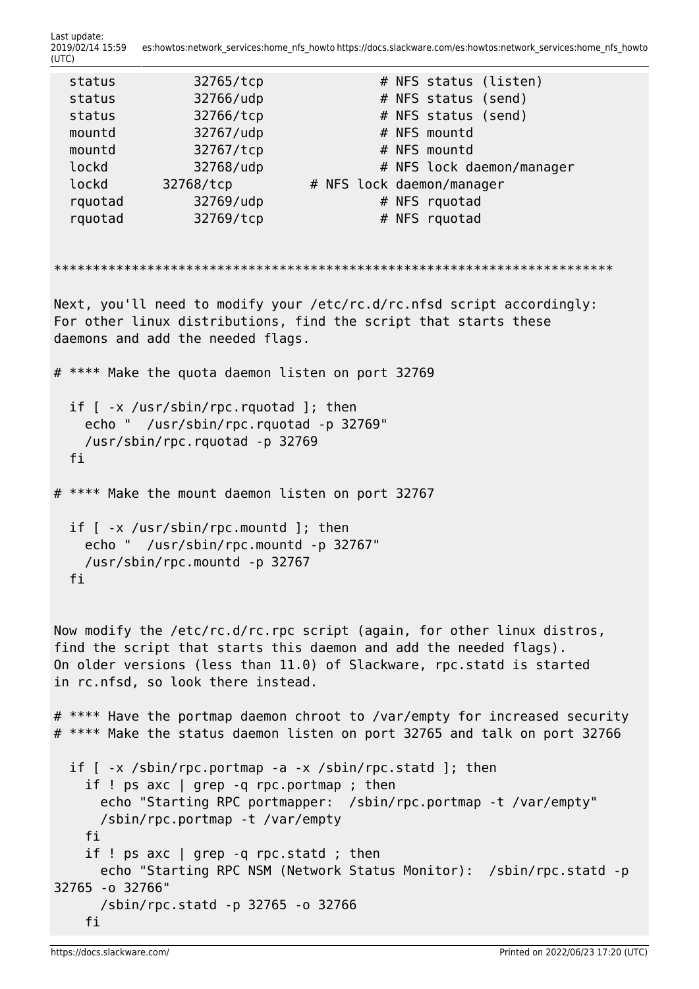Last update: 2019/02/14 15:59 es:howtos:network\_services:home\_nfs\_howto https://docs.slackware.com/es:howtos:network\_services:home\_nfs\_howto (UTC)

```
status 32765/tcp # NFS status (listen)
 status 32766/udp # NFS status (send)
 status 32766/tcp # NFS status (send)
 mountd 32767/udp # NFS mountd
 mountd 32767/tcp # NFS mountd
 lockd 32768/udp # NFS lock daemon/manager
 lockd 32768/tcp # NFS lock daemon/manager
 rquotad 32769/udp  # NFS rquotad
 rquotad 32769/tcp # NFS rquotad
************************************************************************
Next, you'll need to modify your /etc/rc.d/rc.nfsd script accordingly:
For other linux distributions, find the script that starts these
daemons and add the needed flags.
# **** Make the quota daemon listen on port 32769
  if [ -x /usr/sbin/rpc.rquotad ]; then
    echo " /usr/sbin/rpc.rquotad -p 32769"
    /usr/sbin/rpc.rquotad -p 32769
  fi
# **** Make the mount daemon listen on port 32767
  if [ -x /usr/sbin/rpc.mountd ]; then
    echo " /usr/sbin/rpc.mountd -p 32767"
    /usr/sbin/rpc.mountd -p 32767
  fi
Now modify the /etc/rc.d/rc.rpc script (again, for other linux distros,
find the script that starts this daemon and add the needed flags).
On older versions (less than 11.0) of Slackware, rpc.statd is started
in rc.nfsd, so look there instead.
# **** Have the portmap daemon chroot to /var/empty for increased security
# **** Make the status daemon listen on port 32765 and talk on port 32766
  if [ -x /sbin/rpc.portmap -a -x /sbin/rpc.statd ]; then
    if ! ps axc | grep -q rpc.portmap ; then
      echo "Starting RPC portmapper: /sbin/rpc.portmap -t /var/empty"
      /sbin/rpc.portmap -t /var/empty
    fi
    if ! ps axc | grep -q rpc.statd ; then
      echo "Starting RPC NSM (Network Status Monitor): /sbin/rpc.statd -p
32765 -o 32766"
      /sbin/rpc.statd -p 32765 -o 32766
    fi
```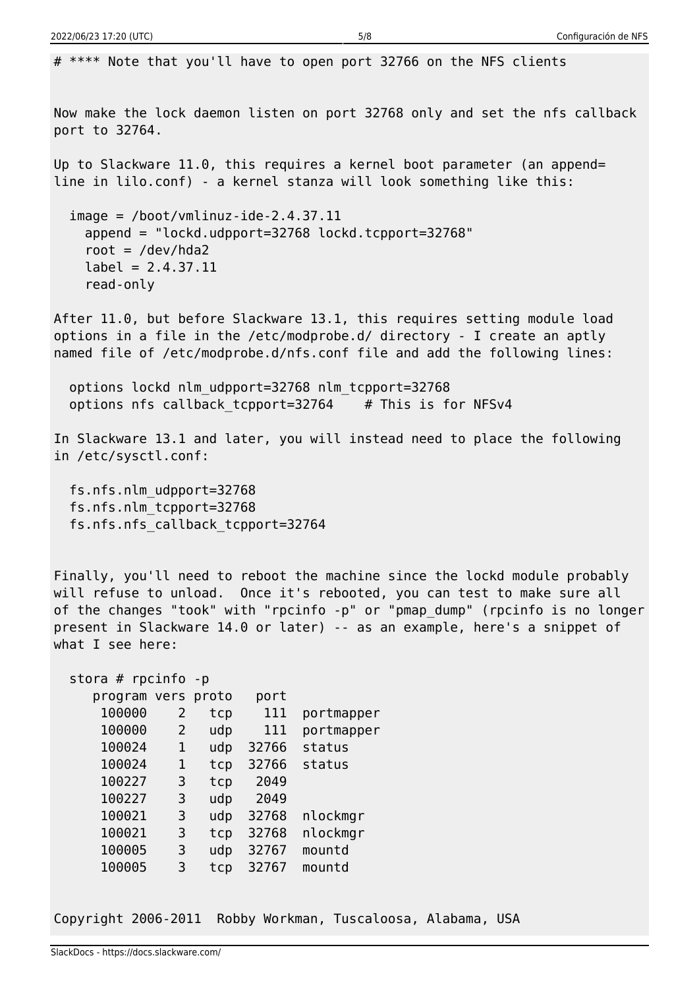# \*\*\*\* Note that you'll have to open port 32766 on the NFS clients Now make the lock daemon listen on port 32768 only and set the nfs callback port to 32764. Up to Slackware 11.0, this requires a kernel boot parameter (an append= line in lilo.conf) - a kernel stanza will look something like this:  $image = /boot/vmlinuz-ide-2.4.37.11$  append = "lockd.udpport=32768 lockd.tcpport=32768" root =  $/\text{dev}/\text{hd}a2$  $label = 2.4.37.11$  read-only After 11.0, but before Slackware 13.1, this requires setting module load options in a file in the /etc/modprobe.d/ directory - I create an aptly named file of /etc/modprobe.d/nfs.conf file and add the following lines: options lockd nlm\_udpport=32768 nlm\_tcpport=32768 options nfs callback tcpport=32764  $#$  This is for NFSv4 In Slackware 13.1 and later, you will instead need to place the following in /etc/sysctl.conf: fs.nfs.nlm\_udpport=32768 fs.nfs.nlm\_tcpport=32768 fs.nfs.nfs\_callback\_tcpport=32764 Finally, you'll need to reboot the machine since the lockd module probably will refuse to unload. Once it's rebooted, you can test to make sure all of the changes "took" with "rpcinfo -p" or "pmap\_dump" (rpcinfo is no longer present in Slackware 14.0 or later) -- as an example, here's a snippet of what I see here: stora # rpcinfo -p program vers proto port 100000 2 tcp 111 portmapper 100000 2 udp 111 portmapper 100024 1 udp 32766 status 100024 1 tcp 32766 status 100227 3 tcp 2049 100227 3 udp 2049 100021 3 udp 32768 nlockmgr 100021 3 tcp 32768 nlockmgr 100005 3 udp 32767 mountd 100005 3 tcp 32767 mountd

Copyright 2006-2011 Robby Workman, Tuscaloosa, Alabama, USA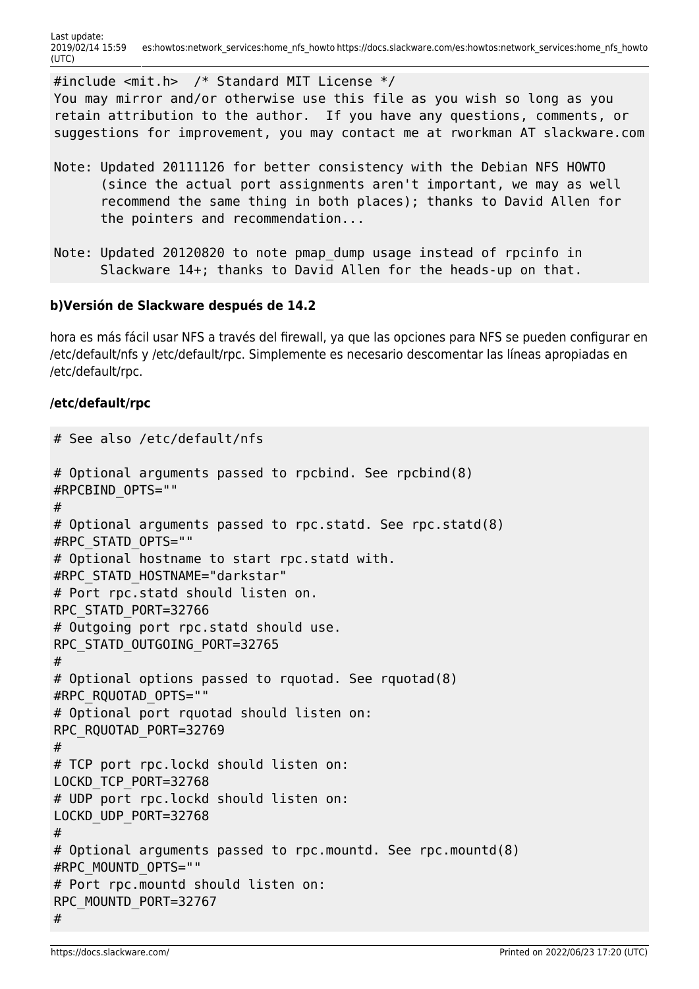#include <mit.h> /\* Standard MIT License \*/ You may mirror and/or otherwise use this file as you wish so long as you retain attribution to the author. If you have any questions, comments, or suggestions for improvement, you may contact me at rworkman AT slackware.com

- Note: Updated 20111126 for better consistency with the Debian NFS HOWTO (since the actual port assignments aren't important, we may as well recommend the same thing in both places); thanks to David Allen for the pointers and recommendation...
- Note: Updated 20120820 to note pmap dump usage instead of rpcinfo in Slackware 14+; thanks to David Allen for the heads-up on that.

#### **b)Versión de Slackware después de 14.2**

hora es más fácil usar NFS a través del firewall, ya que las opciones para NFS se pueden configurar en /etc/default/nfs y /etc/default/rpc. Simplemente es necesario descomentar las líneas apropiadas en /etc/default/rpc.

#### **/etc/default/rpc**

```
# See also /etc/default/nfs
# Optional arguments passed to rpcbind. See rpcbind(8)
#RPCBIND_OPTS=""
#
# Optional arguments passed to rpc.statd. See rpc.statd(8)
#RPC_STATD_OPTS=""
# Optional hostname to start rpc.statd with.
#RPC_STATD_HOSTNAME="darkstar"
# Port rpc.statd should listen on.
RPC_STATD_PORT=32766
# Outgoing port rpc.statd should use.
RPC_STATD_OUTGOING_PORT=32765
#
# Optional options passed to rquotad. See rquotad(8)
#RPC_RQUOTAD_OPTS=""
# Optional port rquotad should listen on:
RPC_RQUOTAD_PORT=32769
#
# TCP port rpc.lockd should listen on:
LOCKD_TCP_PORT=32768
# UDP port rpc.lockd should listen on:
LOCKD_UDP_PORT=32768
#
# Optional arguments passed to rpc.mountd. See rpc.mountd(8)
#RPC_MOUNTD_OPTS=""
# Port rpc.mountd should listen on:
RPC_MOUNTD_PORT=32767
#
```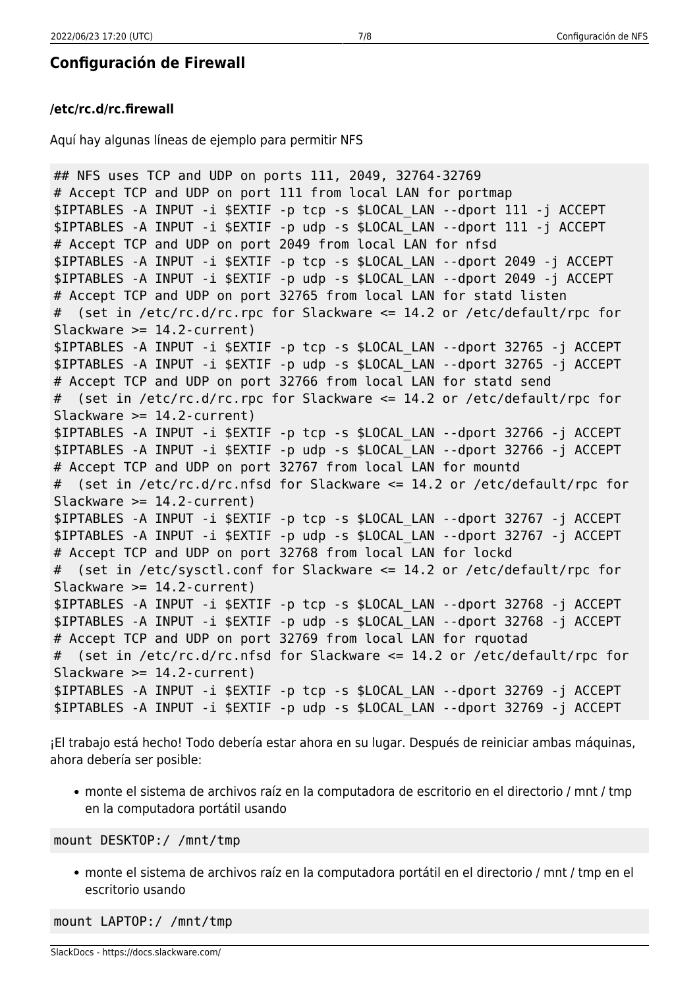## **Configuración de Firewall**

#### **/etc/rc.d/rc.firewall**

Aquí hay algunas líneas de ejemplo para permitir NFS

```
## NFS uses TCP and UDP on ports 111, 2049, 32764-32769
# Accept TCP and UDP on port 111 from local LAN for portmap
$IPTABLES -A INPUT -i $EXTIF -p tcp -s $LOCAL_LAN --dport 111 -j ACCEPT
$IPTABLES -A INPUT -i $EXTIF -p udp -s $LOCAL_LAN --dport 111 -j ACCEPT
# Accept TCP and UDP on port 2049 from local LAN for nfsd
$IPTABLES -A INPUT -i $EXTIF -p tcp -s $LOCAL_LAN --dport 2049 -j ACCEPT
$IPTABLES -A INPUT -i $EXTIF -p udp -s $LOCAL_LAN --dport 2049 -j ACCEPT
# Accept TCP and UDP on port 32765 from local LAN for statd listen
# (set in /etc/rc.d/rc.rpc for Slackware <= 14.2 or /etc/default/rpc for
Slackware >= 14.2-current)
$IPTABLES -A INPUT -i $EXTIF -p tcp -s $LOCAL_LAN --dport 32765 -j ACCEPT
$IPTABLES -A INPUT -i $EXTIF -p udp -s $LOCAL_LAN --dport 32765 -j ACCEPT
# Accept TCP and UDP on port 32766 from local LAN for statd send
# (set in /etc/rc.d/rc.rpc for Slackware <= 14.2 or /etc/default/rpc for
Slackware >= 14.2-current)
$IPTABLES -A INPUT -i $EXTIF -p tcp -s $LOCAL_LAN --dport 32766 -j ACCEPT
$IPTABLES -A INPUT -i $EXTIF -p udp -s $LOCAL_LAN --dport 32766 -j ACCEPT
# Accept TCP and UDP on port 32767 from local LAN for mountd
# (set in /etc/rc.d/rc.nfsd for Slackware <= 14.2 or /etc/default/rpc for
Slackware >= 14.2-current)
$IPTABLES -A INPUT -i $EXTIF -p tcp -s $LOCAL_LAN --dport 32767 -j ACCEPT
$IPTABLES -A INPUT -i $EXTIF -p udp -s $LOCAL_LAN --dport 32767 -j ACCEPT
# Accept TCP and UDP on port 32768 from local LAN for lockd
# (set in /etc/sysctl.conf for Slackware <= 14.2 or /etc/default/rpc for
Slackware >= 14.2-current)
$IPTABLES -A INPUT -i $EXTIF -p tcp -s $LOCAL_LAN --dport 32768 -j ACCEPT
$IPTABLES -A INPUT -i $EXTIF -p udp -s $LOCAL_LAN --dport 32768 -j ACCEPT
# Accept TCP and UDP on port 32769 from local LAN for rquotad
# (set in /etc/rc.d/rc.nfsd for Slackware <= 14.2 or /etc/default/rpc for
Slackware >= 14.2-current)
$IPTABLES -A INPUT -i $EXTIF -p tcp -s $LOCAL_LAN --dport 32769 -j ACCEPT
$IPTABLES -A INPUT -i $EXTIF -p udp -s $LOCAL_LAN --dport 32769 -j ACCEPT
```
¡El trabajo está hecho! Todo debería estar ahora en su lugar. Después de reiniciar ambas máquinas, ahora debería ser posible:

monte el sistema de archivos raíz en la computadora de escritorio en el directorio / mnt / tmp en la computadora portátil usando

mount DESKTOP:/ /mnt/tmp

monte el sistema de archivos raíz en la computadora portátil en el directorio / mnt / tmp en el escritorio usando

mount LAPTOP:/ /mnt/tmp